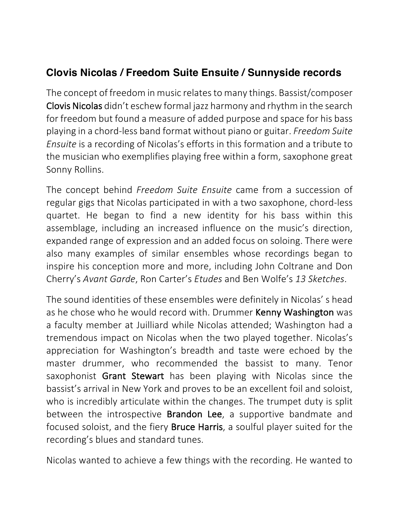## **Clovis Nicolas / Freedom Suite Ensuite / Sunnyside records**

The concept of freedom in music relates to many things. Bassist/composer Clovis Nicolas didn't eschew formal jazz harmony and rhythm in the search for freedom but found a measure of added purpose and space for his bass playing in a chord-less band format without piano or guitar. *Freedom Suite Ensuite* is a recording of Nicolas's efforts in this formation and a tribute to the musician who exemplifies playing free within a form, saxophone great Sonny Rollins. 

The concept behind *Freedom Suite Ensuite* came from a succession of regular gigs that Nicolas participated in with a two saxophone, chord-less quartet. He began to find a new identity for his bass within this assemblage, including an increased influence on the music's direction, expanded range of expression and an added focus on soloing. There were also many examples of similar ensembles whose recordings began to inspire his conception more and more, including John Coltrane and Don Cherry's *Avant Garde*, Ron Carter's *Etudes* and Ben Wolfe's *13 Sketches*. 

The sound identities of these ensembles were definitely in Nicolas' s head as he chose who he would record with. Drummer Kenny Washington was a faculty member at Juilliard while Nicolas attended; Washington had a tremendous impact on Nicolas when the two played together. Nicolas's appreciation for Washington's breadth and taste were echoed by the master drummer, who recommended the bassist to many. Tenor saxophonist Grant Stewart has been playing with Nicolas since the bassist's arrival in New York and proves to be an excellent foil and soloist, who is incredibly articulate within the changes. The trumpet duty is split between the introspective Brandon Lee, a supportive bandmate and focused soloist, and the fiery **Bruce Harris**, a soulful player suited for the recording's blues and standard tunes.

Nicolas wanted to achieve a few things with the recording. He wanted to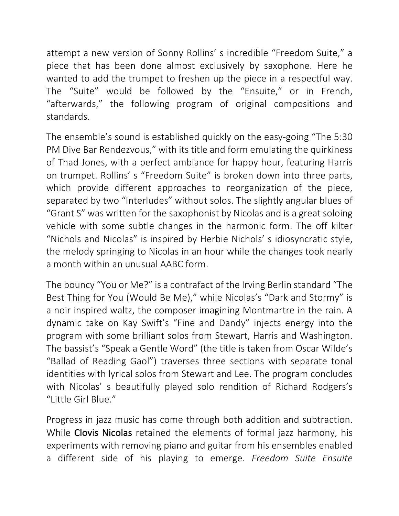attempt a new version of Sonny Rollins' s incredible "Freedom Suite," a piece that has been done almost exclusively by saxophone. Here he wanted to add the trumpet to freshen up the piece in a respectful way. The "Suite" would be followed by the "Ensuite," or in French, "afterwards," the following program of original compositions and standards. 

The ensemble's sound is established quickly on the easy-going "The 5:30 PM Dive Bar Rendezvous," with its title and form emulating the quirkiness of Thad Jones, with a perfect ambiance for happy hour, featuring Harris on trumpet. Rollins' s "Freedom Suite" is broken down into three parts, which provide different approaches to reorganization of the piece, separated by two "Interludes" without solos. The slightly angular blues of "Grant S" was written for the saxophonist by Nicolas and is a great soloing vehicle with some subtle changes in the harmonic form. The off kilter "Nichols and Nicolas" is inspired by Herbie Nichols' s idiosyncratic style, the melody springing to Nicolas in an hour while the changes took nearly a month within an unusual AABC form.

The bouncy "You or Me?" is a contrafact of the Irving Berlin standard "The Best Thing for You (Would Be Me)," while Nicolas's "Dark and Stormy" is a noir inspired waltz, the composer imagining Montmartre in the rain. A dynamic take on Kay Swift's "Fine and Dandy" injects energy into the program with some brilliant solos from Stewart, Harris and Washington. The bassist's "Speak a Gentle Word" (the title is taken from Oscar Wilde's "Ballad of Reading Gaol") traverses three sections with separate tonal identities with lyrical solos from Stewart and Lee. The program concludes with Nicolas' s beautifully played solo rendition of Richard Rodgers's "Little Girl Blue."

Progress in jazz music has come through both addition and subtraction. While Clovis Nicolas retained the elements of formal jazz harmony, his experiments with removing piano and guitar from his ensembles enabled a different side of his playing to emerge. *Freedom Suite Ensuite*